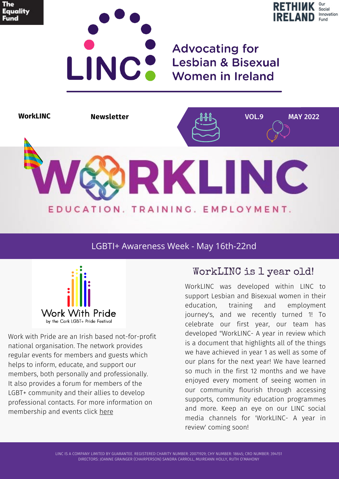



**Advocating for Lesbian & Bisexual Women in Ireland** 



## LGBTI+ Awareness Week - May 16th-22nd



Work with Pride are an Irish based not-for-profit national organisation. The network provides regular events for members and guests which helps to inform, educate, and support our members, both personally and professionally. It also provides a forum for members of the LGBT+ community and their allies to develop professional contacts. For more information on membership and events click [here](https://workwithpride.ie/)

# WorkLINC is 1 year old!

WorkLINC was developed within LINC to support Lesbian and Bisexual women in their education, training and employment journey's, and we recently turned 1! To celebrate our first year, our team has developed "WorkLINC- A year in review which is a document that highlights all of the things we have achieved in year 1 as well as some of our plans for the next year! We have learned so much in the first 12 months and we have enjoyed every moment of seeing women in our community flourish through accessing supports, community education programmes and more. Keep an eye on our LINC social media channels for 'WorkLINC- A year in review' coming soon!